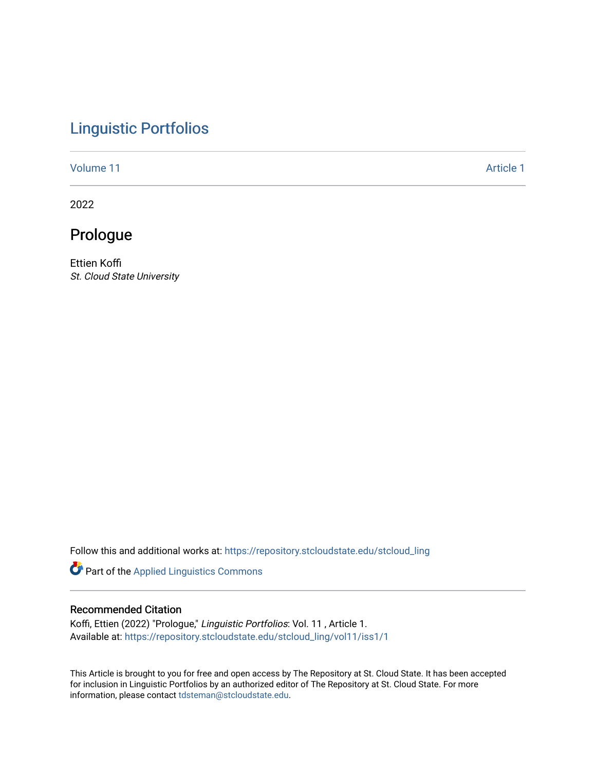## [Linguistic Portfolios](https://repository.stcloudstate.edu/stcloud_ling)

[Volume 11](https://repository.stcloudstate.edu/stcloud_ling/vol11) [Article 1](https://repository.stcloudstate.edu/stcloud_ling/vol11/iss1/1) Article 1 Article 1 Article 1 Article 1 Article 1 Article 1 Article 1 Article 1

2022

## Prologue

Ettien Koffi St. Cloud State University

Follow this and additional works at: [https://repository.stcloudstate.edu/stcloud\\_ling](https://repository.stcloudstate.edu/stcloud_ling?utm_source=repository.stcloudstate.edu%2Fstcloud_ling%2Fvol11%2Fiss1%2F1&utm_medium=PDF&utm_campaign=PDFCoverPages) 

Part of the [Applied Linguistics Commons](http://network.bepress.com/hgg/discipline/373?utm_source=repository.stcloudstate.edu%2Fstcloud_ling%2Fvol11%2Fiss1%2F1&utm_medium=PDF&utm_campaign=PDFCoverPages) 

## Recommended Citation

Koffi, Ettien (2022) "Prologue," Linguistic Portfolios: Vol. 11 , Article 1. Available at: [https://repository.stcloudstate.edu/stcloud\\_ling/vol11/iss1/1](https://repository.stcloudstate.edu/stcloud_ling/vol11/iss1/1?utm_source=repository.stcloudstate.edu%2Fstcloud_ling%2Fvol11%2Fiss1%2F1&utm_medium=PDF&utm_campaign=PDFCoverPages) 

This Article is brought to you for free and open access by The Repository at St. Cloud State. It has been accepted for inclusion in Linguistic Portfolios by an authorized editor of The Repository at St. Cloud State. For more information, please contact [tdsteman@stcloudstate.edu.](mailto:tdsteman@stcloudstate.edu)